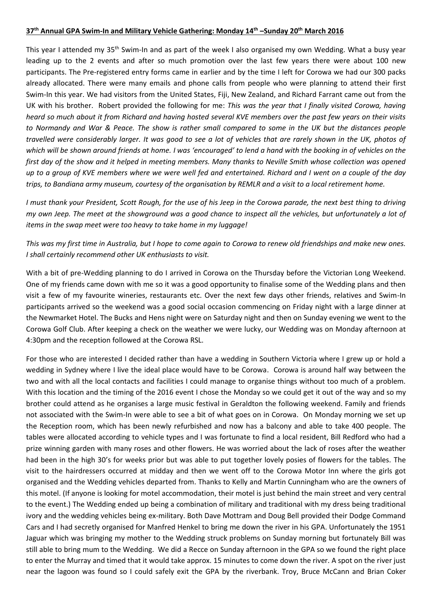## **37th Annual GPA Swim-In and Military Vehicle Gathering: Monday 14th –Sunday 20th March 2016**

This year I attended my 35<sup>th</sup> Swim-In and as part of the week I also organised my own Wedding. What a busy year leading up to the 2 events and after so much promotion over the last few years there were about 100 new participants. The Pre-registered entry forms came in earlier and by the time I left for Corowa we had our 300 packs already allocated. There were many emails and phone calls from people who were planning to attend their first Swim-In this year. We had visitors from the United States, Fiji, New Zealand, and Richard Farrant came out from the UK with his brother. Robert provided the following for me: *This was the year that I finally visited Corowa, having heard so much about it from Richard and having hosted several KVE members over the past few years on their visits to Normandy and War & Peace. The show is rather small compared to some in the UK but the distances people travelled were considerably larger. It was good to see a lot of vehicles that are rarely shown in the UK, photos of which will be shown around friends at home. I was 'encouraged' to lend a hand with the booking in of vehicles on the first day of the show and it helped in meeting members. Many thanks to Neville Smith whose collection was opened up to a group of KVE members where we were well fed and entertained. Richard and I went on a couple of the day trips, to Bandiana army museum, courtesy of the organisation by REMLR and a visit to a local retirement home.*

*I must thank your President, Scott Rough, for the use of his Jeep in the Corowa parade, the next best thing to driving my own Jeep. The meet at the showground was a good chance to inspect all the vehicles, but unfortunately a lot of items in the swap meet were too heavy to take home in my luggage!* 

*This was my first time in Australia, but I hope to come again to Corowa to renew old friendships and make new ones. I shall certainly recommend other UK enthusiasts to visit.*

With a bit of pre-Wedding planning to do I arrived in Corowa on the Thursday before the Victorian Long Weekend. One of my friends came down with me so it was a good opportunity to finalise some of the Wedding plans and then visit a few of my favourite wineries, restaurants etc. Over the next few days other friends, relatives and Swim-In participants arrived so the weekend was a good social occasion commencing on Friday night with a large dinner at the Newmarket Hotel. The Bucks and Hens night were on Saturday night and then on Sunday evening we went to the Corowa Golf Club. After keeping a check on the weather we were lucky, our Wedding was on Monday afternoon at 4:30pm and the reception followed at the Corowa RSL.

For those who are interested I decided rather than have a wedding in Southern Victoria where I grew up or hold a wedding in Sydney where I live the ideal place would have to be Corowa. Corowa is around half way between the two and with all the local contacts and facilities I could manage to organise things without too much of a problem. With this location and the timing of the 2016 event I chose the Monday so we could get it out of the way and so my brother could attend as he organises a large music festival in Geraldton the following weekend. Family and friends not associated with the Swim-In were able to see a bit of what goes on in Corowa. On Monday morning we set up the Reception room, which has been newly refurbished and now has a balcony and able to take 400 people. The tables were allocated according to vehicle types and I was fortunate to find a local resident, Bill Redford who had a prize winning garden with many roses and other flowers. He was worried about the lack of roses after the weather had been in the high 30's for weeks prior but was able to put together lovely posies of flowers for the tables. The visit to the hairdressers occurred at midday and then we went off to the Corowa Motor Inn where the girls got organised and the Wedding vehicles departed from. Thanks to Kelly and Martin Cunningham who are the owners of this motel. (If anyone is looking for motel accommodation, their motel is just behind the main street and very central to the event.) The Wedding ended up being a combination of military and traditional with my dress being traditional ivory and the wedding vehicles being ex-military. Both Dave Mottram and Doug Bell provided their Dodge Command Cars and I had secretly organised for Manfred Henkel to bring me down the river in his GPA. Unfortunately the 1951 Jaguar which was bringing my mother to the Wedding struck problems on Sunday morning but fortunately Bill was still able to bring mum to the Wedding. We did a Recce on Sunday afternoon in the GPA so we found the right place to enter the Murray and timed that it would take approx. 15 minutes to come down the river. A spot on the river just near the lagoon was found so I could safely exit the GPA by the riverbank. Troy, Bruce McCann and Brian Coker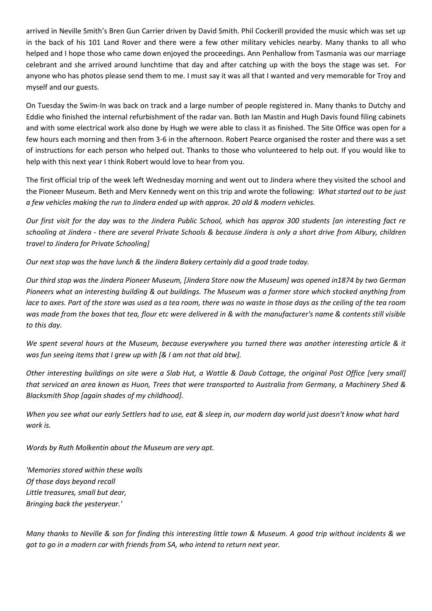arrived in Neville Smith's Bren Gun Carrier driven by David Smith. Phil Cockerill provided the music which was set up in the back of his 101 Land Rover and there were a few other military vehicles nearby. Many thanks to all who helped and I hope those who came down enjoyed the proceedings. Ann Penhallow from Tasmania was our marriage celebrant and she arrived around lunchtime that day and after catching up with the boys the stage was set. For anyone who has photos please send them to me. I must say it was all that I wanted and very memorable for Troy and myself and our guests.

On Tuesday the Swim-In was back on track and a large number of people registered in. Many thanks to Dutchy and Eddie who finished the internal refurbishment of the radar van. Both Ian Mastin and Hugh Davis found filing cabinets and with some electrical work also done by Hugh we were able to class it as finished. The Site Office was open for a few hours each morning and then from 3-6 in the afternoon. Robert Pearce organised the roster and there was a set of instructions for each person who helped out. Thanks to those who volunteered to help out. If you would like to help with this next year I think Robert would love to hear from you.

The first official trip of the week left Wednesday morning and went out to Jindera where they visited the school and the Pioneer Museum. Beth and Merv Kennedy went on this trip and wrote the following: *What started out to be just a few vehicles making the run to Jindera ended up with approx. 20 old & modern vehicles.*

*Our first visit for the day was to the Jindera Public School, which has approx 300 students [an interesting fact re schooling at Jindera - there are several Private Schools & because Jindera is only a short drive from Albury, children travel to Jindera for Private Schooling]*

*Our next stop was the have lunch & the Jindera Bakery certainly did a good trade today.*

*Our third stop was the Jindera Pioneer Museum, [Jindera Store now the Museum] was opened in1874 by two German Pioneers what an interesting building & out buildings. The Museum was a former store which stocked anything from lace to axes. Part of the store was used as a tea room, there was no waste in those days as the ceiling of the tea room was made from the boxes that tea, flour etc were delivered in & with the manufacturer's name & contents still visible to this day.*

*We spent several hours at the Museum, because everywhere you turned there was another interesting article & it was fun seeing items that I grew up with [& I am not that old btw].*

*Other interesting buildings on site were a Slab Hut, a Wattle & Daub Cottage, the original Post Office [very small] that serviced an area known as Huon, Trees that were transported to Australia from Germany, a Machinery Shed & Blacksmith Shop [again shades of my childhood].*

*When you see what our early Settlers had to use, eat & sleep in, our modern day world just doesn't know what hard work is.*

*Words by Ruth Molkentin about the Museum are very apt.*

*'Memories stored within these walls Of those days beyond recall Little treasures, small but dear, Bringing back the yesteryear.'*

*Many thanks to Neville & son for finding this interesting little town & Museum. A good trip without incidents & we got to go in a modern car with friends from SA, who intend to return next year.*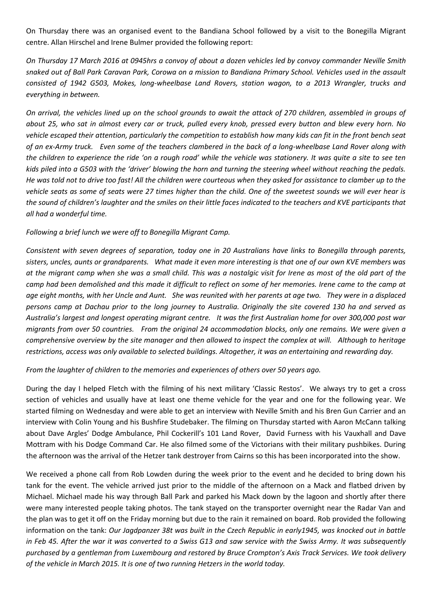On Thursday there was an organised event to the Bandiana School followed by a visit to the Bonegilla Migrant centre. Allan Hirschel and Irene Bulmer provided the following report:

*On Thursday 17 March 2016 at 0945hrs a convoy of about a dozen vehicles led by convoy commander Neville Smith snaked out of Ball Park Caravan Park, Corowa on a mission to Bandiana Primary School. Vehicles used in the assault consisted of 1942 G503, Mokes, long-wheelbase Land Rovers, station wagon, to a 2013 Wrangler, trucks and everything in between.*

*On arrival, the vehicles lined up on the school grounds to await the attack of 270 children, assembled in groups of about 25, who sat in almost every car or truck, pulled every knob, pressed every button and blew every horn. No vehicle escaped their attention, particularly the competition to establish how many kids can fit in the front bench seat of an ex-Army truck. Even some of the teachers clambered in the back of a long-wheelbase Land Rover along with the children to experience the ride 'on a rough road' while the vehicle was stationery. It was quite a site to see ten kids piled into a G503 with the 'driver' blowing the horn and turning the steering wheel without reaching the pedals. He was told not to drive too fast! All the children were courteous when they asked for assistance to clamber up to the vehicle seats as some of seats were 27 times higher than the child. One of the sweetest sounds we will ever hear is the sound of children's laughter and the smiles on their little faces indicated to the teachers and KVE participants that all had a wonderful time.*

## *Following a brief lunch we were off to Bonegilla Migrant Camp.*

*Consistent with seven degrees of separation, today one in 20 Australians have links to Bonegilla through parents, sisters, uncles, aunts or grandparents. What made it even more interesting is that one of our own KVE members was at the migrant camp when she was a small child. This was a nostalgic visit for Irene as most of the old part of the camp had been demolished and this made it difficult to reflect on some of her memories. Irene came to the camp at age eight months, with her Uncle and Aunt. She was reunited with her parents at age two. They were in a displaced persons camp at Dachau prior to the long journey to Australia. Originally the site covered 130 ha and served as Australia's largest and longest operating migrant centre. It was the first Australian home for over 300,000 post war migrants from over 50 countries. From the original 24 accommodation blocks, only one remains. We were given a comprehensive overview by the site manager and then allowed to inspect the complex at will. Although to heritage restrictions, access was only available to selected buildings. Altogether, it was an entertaining and rewarding day.*

## *From the laughter of children to the memories and experiences of others over 50 years ago.*

During the day I helped Fletch with the filming of his next military 'Classic Restos'. We always try to get a cross section of vehicles and usually have at least one theme vehicle for the year and one for the following year. We started filming on Wednesday and were able to get an interview with Neville Smith and his Bren Gun Carrier and an interview with Colin Young and his Bushfire Studebaker. The filming on Thursday started with Aaron McCann talking about Dave Argles' Dodge Ambulance, Phil Cockerill's 101 Land Rover, David Furness with his Vauxhall and Dave Mottram with his Dodge Command Car. He also filmed some of the Victorians with their military pushbikes. During the afternoon was the arrival of the Hetzer tank destroyer from Cairns so this has been incorporated into the show.

We received a phone call from Rob Lowden during the week prior to the event and he decided to bring down his tank for the event. The vehicle arrived just prior to the middle of the afternoon on a Mack and flatbed driven by Michael. Michael made his way through Ball Park and parked his Mack down by the lagoon and shortly after there were many interested people taking photos. The tank stayed on the transporter overnight near the Radar Van and the plan was to get it off on the Friday morning but due to the rain it remained on board. Rob provided the following information on the tank: *Our Jagdpanzer 38t was built in the Czech Republic in early1945, was knocked out in battle in Feb 45. After the war it was converted to a Swiss G13 and saw service with the Swiss Army. It was subsequently purchased by a gentleman from Luxembourg and restored by Bruce Crompton's Axis Track Services. We took delivery of the vehicle in March 2015. It is one of two running Hetzers in the world today.*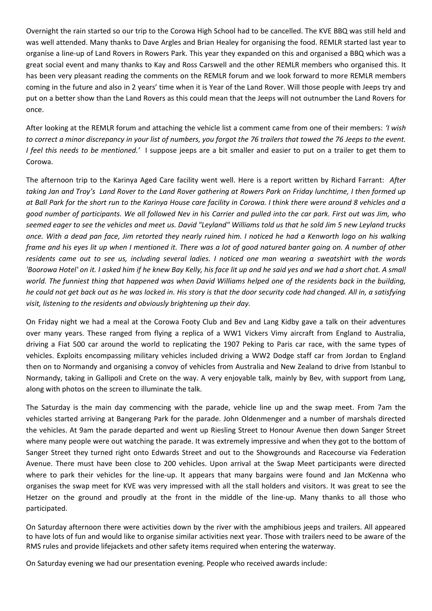Overnight the rain started so our trip to the Corowa High School had to be cancelled. The KVE BBQ was still held and was well attended. Many thanks to Dave Argles and Brian Healey for organising the food. REMLR started last year to organise a line-up of Land Rovers in Rowers Park. This year they expanded on this and organised a BBQ which was a great social event and many thanks to Kay and Ross Carswell and the other REMLR members who organised this. It has been very pleasant reading the comments on the REMLR forum and we look forward to more REMLR members coming in the future and also in 2 years' time when it is Year of the Land Rover. Will those people with Jeeps try and put on a better show than the Land Rovers as this could mean that the Jeeps will not outnumber the Land Rovers for once.

After looking at the REMLR forum and attaching the vehicle list a comment came from one of their members: *'I wish to correct a minor discrepancy in your list of numbers, you forgot the 76 trailers that towed the 76 Jeeps to the event. I feel this needs to be mentioned.'* I suppose jeeps are a bit smaller and easier to put on a trailer to get them to Corowa.

The afternoon trip to the Karinya Aged Care facility went well. Here is a report written by Richard Farrant: *After taking Jan and Troy's Land Rover to the Land Rover gathering at Rowers Park on Friday lunchtime, I then formed up at Ball Park for the short run to the Karinya House care facility in Corowa. I think there were around 8 vehicles and a good number of participants. We all followed Nev in his Carrier and pulled into the car park. First out was Jim, who seemed eager to see the vehicles and meet us. David "Leyland" Williams told us that he sold Jim 5 new Leyland trucks once. With a dead pan face, Jim retorted they nearly ruined him. I noticed he had a Kenworth logo on his walking frame and his eyes lit up when I mentioned it. There was a lot of good natured banter going on. A number of other residents came out to see us, including several ladies. I noticed one man wearing a sweatshirt with the words 'Boorowa Hotel' on it. I asked him if he knew Bay Kelly, his face lit up and he said yes and we had a short chat. A small world. The funniest thing that happened was when David Williams helped one of the residents back in the building, he could not get back out as he was locked in. His story is that the door security code had changed. All in, a satisfying visit, listening to the residents and obviously brightening up their day.*

On Friday night we had a meal at the Corowa Footy Club and Bev and Lang Kidby gave a talk on their adventures over many years. These ranged from flying a replica of a WW1 Vickers Vimy aircraft from England to Australia, driving a Fiat 500 car around the world to replicating the 1907 Peking to Paris car race, with the same types of vehicles. Exploits encompassing military vehicles included driving a WW2 Dodge staff car from Jordan to England then on to Normandy and organising a convoy of vehicles from Australia and New Zealand to drive from Istanbul to Normandy, taking in Gallipoli and Crete on the way. A very enjoyable talk, mainly by Bev, with support from Lang, along with photos on the screen to illuminate the talk.

The Saturday is the main day commencing with the parade, vehicle line up and the swap meet. From 7am the vehicles started arriving at Bangerang Park for the parade. John Oldenmenger and a number of marshals directed the vehicles. At 9am the parade departed and went up Riesling Street to Honour Avenue then down Sanger Street where many people were out watching the parade. It was extremely impressive and when they got to the bottom of Sanger Street they turned right onto Edwards Street and out to the Showgrounds and Racecourse via Federation Avenue. There must have been close to 200 vehicles. Upon arrival at the Swap Meet participants were directed where to park their vehicles for the line-up. It appears that many bargains were found and Jan McKenna who organises the swap meet for KVE was very impressed with all the stall holders and visitors. It was great to see the Hetzer on the ground and proudly at the front in the middle of the line-up. Many thanks to all those who participated.

On Saturday afternoon there were activities down by the river with the amphibious jeeps and trailers. All appeared to have lots of fun and would like to organise similar activities next year. Those with trailers need to be aware of the RMS rules and provide lifejackets and other safety items required when entering the waterway.

On Saturday evening we had our presentation evening. People who received awards include: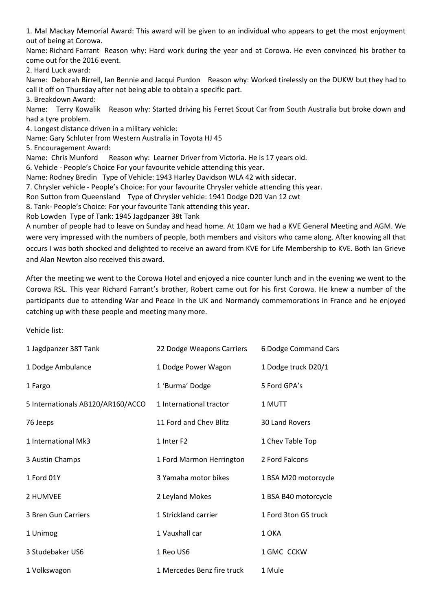1. Mal Mackay Memorial Award: This award will be given to an individual who appears to get the most enjoyment out of being at Corowa.

Name: Richard Farrant Reason why: Hard work during the year and at Corowa. He even convinced his brother to come out for the 2016 event.

2. Hard Luck award:

Name: Deborah Birrell, Ian Bennie and Jacqui Purdon Reason why: Worked tirelessly on the DUKW but they had to call it off on Thursday after not being able to obtain a specific part.

3. Breakdown Award:

Name: Terry Kowalik Reason why: Started driving his Ferret Scout Car from South Australia but broke down and had a tyre problem.

4. Longest distance driven in a military vehicle:

Name: Gary Schluter from Western Australia in Toyota HJ 45

5. Encouragement Award:

Name: Chris Munford Reason why: Learner Driver from Victoria. He is 17 years old.

6. Vehicle - People's Choice For your favourite vehicle attending this year.

Name: Rodney Bredin Type of Vehicle: 1943 Harley Davidson WLA 42 with sidecar.

7. Chrysler vehicle - People's Choice: For your favourite Chrysler vehicle attending this year.

Ron Sutton from Queensland Type of Chrysler vehicle: 1941 Dodge D20 Van 12 cwt

8. Tank- People's Choice: For your favourite Tank attending this year.

Rob Lowden Type of Tank: 1945 Jagdpanzer 38t Tank

A number of people had to leave on Sunday and head home. At 10am we had a KVE General Meeting and AGM. We were very impressed with the numbers of people, both members and visitors who came along. After knowing all that occurs I was both shocked and delighted to receive an award from KVE for Life Membership to KVE. Both Ian Grieve and Alan Newton also received this award.

After the meeting we went to the Corowa Hotel and enjoyed a nice counter lunch and in the evening we went to the Corowa RSL. This year Richard Farrant's brother, Robert came out for his first Corowa. He knew a number of the participants due to attending War and Peace in the UK and Normandy commemorations in France and he enjoyed catching up with these people and meeting many more.

Vehicle list:

| 1 Jagdpanzer 38T Tank             | 22 Dodge Weapons Carriers  | 6 Dodge Command Cars |
|-----------------------------------|----------------------------|----------------------|
| 1 Dodge Ambulance                 | 1 Dodge Power Wagon        | 1 Dodge truck D20/1  |
| 1 Fargo                           | 1 'Burma' Dodge            | 5 Ford GPA's         |
| 5 Internationals AB120/AR160/ACCO | 1 International tractor    | 1 MUTT               |
| 76 Jeeps                          | 11 Ford and Chev Blitz     | 30 Land Rovers       |
| 1 International Mk3               | 1 Inter F <sub>2</sub>     | 1 Chev Table Top     |
| 3 Austin Champs                   | 1 Ford Marmon Herrington   | 2 Ford Falcons       |
| 1 Ford 01Y                        | 3 Yamaha motor bikes       | 1 BSA M20 motorcycle |
| 2 HUMVEE                          | 2 Leyland Mokes            | 1 BSA B40 motorcycle |
| 3 Bren Gun Carriers               | 1 Strickland carrier       | 1 Ford 3ton GS truck |
| 1 Unimog                          | 1 Vauxhall car             | 1 OKA                |
| 3 Studebaker US6                  | 1 Reo US6                  | 1 GMC CCKW           |
| 1 Volkswagon                      | 1 Mercedes Benz fire truck | 1 Mule               |